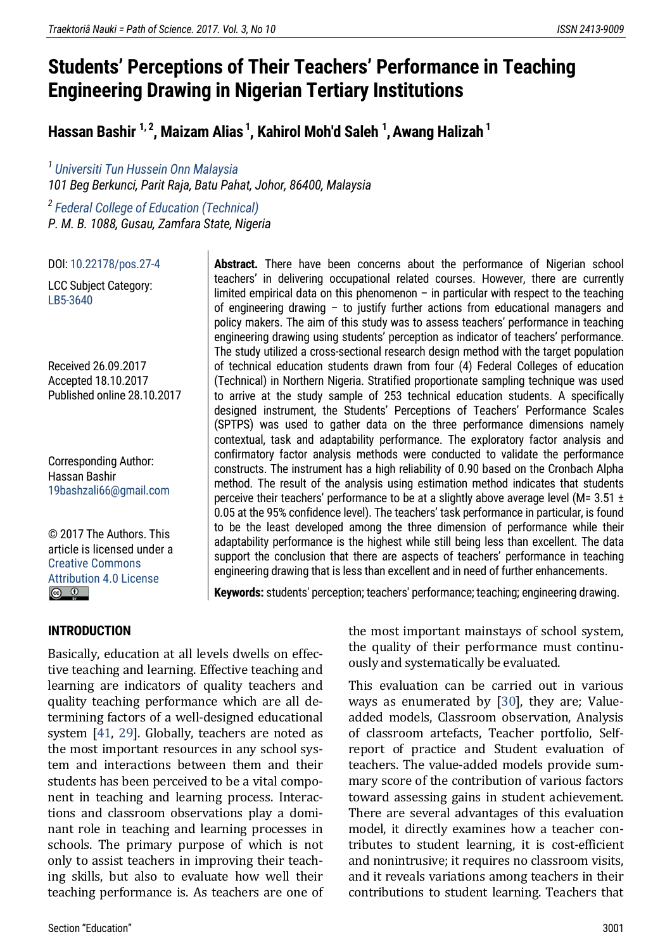# **Students' Perceptions of Their Teachers' Performance in Teaching Engineering Drawing in Nigerian Tertiary Institutions**

**Hassan Bashir 1, <sup>2</sup> , Maizam Alias <sup>1</sup> , Kahirol Moh'd Saleh <sup>1</sup> ,Awang Halizah <sup>1</sup>**

*1 [Universiti Tun Hussein Onn Malaysia](http://www.uthm.edu.my/v2/) 101 Beg Berkunci, Parit Raja, Batu Pahat, Johor, 86400, Malaysia*

*2 [Federal College of Education \(Technical\)](https://www.fcet-gusau.edu.ng/) P. M. B. 1088, Gusau, Zamfara State, Nigeria*

DOI[: 10.22178/pos.27-4](http://dx.doi.org/10.22178/pos.27-4)

LСC Subject Category: [LB5-3640](https://www.loc.gov/aba/cataloging/classification/lcco/lcco_l.pdf)

Received 26.09.2017 Accepted 18.10.2017 Published online 28.10.2017

Corresponding Author: Hassan Bashir [19bashzali66@gmail.com](mailto:19bashzali66@gmail.com)

© 2017 The Authors[. This](https://creativecommons.org/licenses/by/4.0/)  [article is licensed under a](https://creativecommons.org/licenses/by/4.0/)  [Creative Commons](https://creativecommons.org/licenses/by/4.0/)  [Attribution 4.0 License](https://creativecommons.org/licenses/by/4.0/)  $\boxed{6}$   $\boxed{0}$ 

Abstract. There have been concerns about the performance of Nigerian school teachers' in delivering occupational related courses. However, there are currently limited empirical data on this phenomenon  $-$  in particular with respect to the teaching of engineering drawing – to justify further actions from educational managers and policy makers. The aim of this study was to assess teachers' performance in teaching engineering drawing using students' perception as indicator of teachers' performance. The study utilized a cross-sectional research design method with the target population of technical education students drawn from four (4) Federal Colleges of education (Technical) in Northern Nigeria. Stratified proportionate sampling technique was used to arrive at the study sample of 253 technical education students. A specifically designed instrument, the Students' Perceptions of Teachers' Performance Scales (SPTPS) was used to gather data on the three performance dimensions namely contextual, task and adaptability performance. The exploratory factor analysis and confirmatory factor analysis methods were conducted to validate the performance constructs. The instrument has a high reliability of 0.90 based on the Cronbach Alpha method. The result of the analysis using estimation method indicates that students perceive their teachers' performance to be at a slightly above average level ( $M= 3.51 \pm 1$ 0.05 at the 95% confidence level). The teachers' task performance in particular, is found to be the least developed among the three dimension of performance while their adaptability performance is the highest while still being less than excellent. The data support the conclusion that there are aspects of teachers' performance in teaching engineering drawing that is less than excellent and in need of further enhancements.

**Keywords:** students' perception; teachers' performance; teaching; engineering drawing.

#### **INTRODUCTION**

Basically, education at all levels dwells on effective teaching and learning. Effective teaching and learning are indicators of quality teachers and quality teaching performance which are all determining factors of a well-designed educational system [\[41,](#page-10-0) [29\]](#page-10-1). Globally, teachers are noted as the most important resources in any school system and interactions between them and their students has been perceived to be a vital component in teaching and learning process. Interactions and classroom observations play a dominant role in teaching and learning processes in schools. The primary purpose of which is not only to assist teachers in improving their teaching skills, but also to evaluate how well their teaching performance is. As teachers are one of the most important mainstays of school system, the quality of their performance must continuously and systematically be evaluated.

This evaluation can be carried out in various ways as enumerated by [\[30\]](#page-10-2), they are; Valueadded models, Classroom observation, Analysis of classroom artefacts, Teacher portfolio, Selfreport of practice and Student evaluation of teachers. The value-added models provide summary score of the contribution of various factors toward assessing gains in student achievement. There are several advantages of this evaluation model, it directly examines how a teacher contributes to student learning, it is cost-efficient and nonintrusive; it requires no classroom visits, and it reveals variations among teachers in their contributions to student learning. Teachers that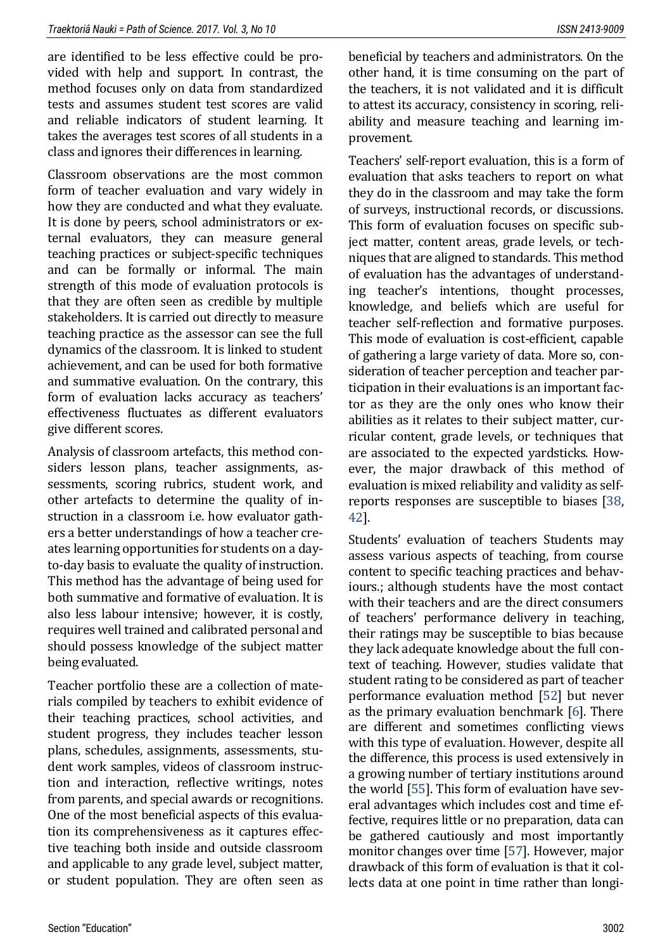are identified to be less effective could be provided with help and support. In contrast, the method focuses only on data from standardized tests and assumes student test scores are valid and reliable indicators of student learning. It takes the averages test scores of all students in a class and ignores their differences in learning.

Classroom observations are the most common form of teacher evaluation and vary widely in how they are conducted and what they evaluate. It is done by peers, school administrators or external evaluators, they can measure general teaching practices or subject-specific techniques and can be formally or informal. The main strength of this mode of evaluation protocols is that they are often seen as credible by multiple stakeholders. It is carried out directly to measure teaching practice as the assessor can see the full dynamics of the classroom. It is linked to student achievement, and can be used for both formative and summative evaluation. On the contrary, this form of evaluation lacks accuracy as teachers' effectiveness fluctuates as different evaluators give different scores.

Analysis of classroom artefacts, this method considers lesson plans, teacher assignments, assessments, scoring rubrics, student work, and other artefacts to determine the quality of instruction in a classroom i.e. how evaluator gathers a better understandings of how a teacher creates learning opportunities for students on a dayto-day basis to evaluate the quality of instruction. This method has the advantage of being used for both summative and formative of evaluation. It is also less labour intensive; however, it is costly, requires well trained and calibrated personal and should possess knowledge of the subject matter being evaluated.

Teacher portfolio these are a collection of materials compiled by teachers to exhibit evidence of their teaching practices, school activities, and student progress, they includes teacher lesson plans, schedules, assignments, assessments, student work samples, videos of classroom instruction and interaction, reflective writings, notes from parents, and special awards or recognitions. One of the most beneficial aspects of this evaluation its comprehensiveness as it captures effective teaching both inside and outside classroom and applicable to any grade level, subject matter, or student population. They are often seen as beneficial by teachers and administrators. On the other hand, it is time consuming on the part of the teachers, it is not validated and it is difficult to attest its accuracy, consistency in scoring, reliability and measure teaching and learning improvement.

Teachers' self-report evaluation, this is a form of evaluation that asks teachers to report on what they do in the classroom and may take the form of surveys, instructional records, or discussions. This form of evaluation focuses on specific subject matter, content areas, grade levels, or techniques that are aligned to standards. This method of evaluation has the advantages of understanding teacher's intentions, thought processes, knowledge, and beliefs which are useful for teacher self-reflection and formative purposes. This mode of evaluation is cost-efficient, capable of gathering a large variety of data. More so, consideration of teacher perception and teacher participation in their evaluations is an important factor as they are the only ones who know their abilities as it relates to their subject matter, curricular content, grade levels, or techniques that are associated to the expected yardsticks. However, the major drawback of this method of evaluation is mixed reliability and validity as selfreports responses are susceptible to biases [\[38,](#page-10-3)  [42\]](#page-10-4).

Students' evaluation of teachers Students may assess various aspects of teaching, from course content to specific teaching practices and behaviours.; although students have the most contact with their teachers and are the direct consumers of teachers' performance delivery in teaching, their ratings may be susceptible to bias because they lack adequate knowledge about the full context of teaching. However, studies validate that student rating to be considered as part of teacher performance evaluation method [\[52\]](#page-11-0) but never as the primary evaluation benchmark [\[6\]](#page-8-0). There are different and sometimes conflicting views with this type of evaluation. However, despite all the difference, this process is used extensively in a growing number of tertiary institutions around the world [\[55\]](#page-11-1). This form of evaluation have several advantages which includes cost and time effective, requires little or no preparation, data can be gathered cautiously and most importantly monitor changes over time [\[57\]](#page-11-2). However, major drawback of this form of evaluation is that it collects data at one point in time rather than longi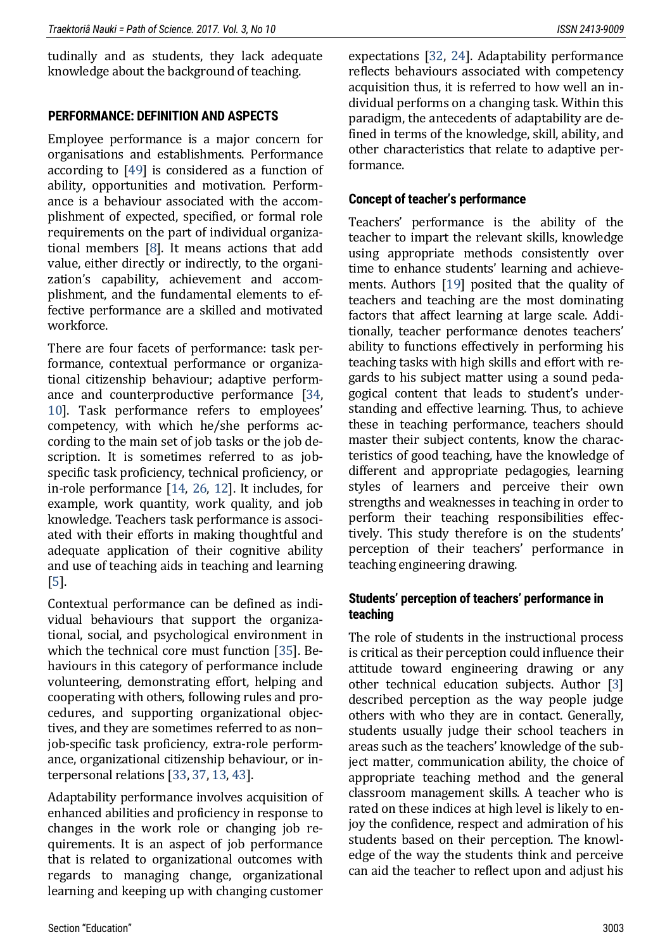tudinally and as students, they lack adequate knowledge about the background of teaching.

#### **PERFORMANCE: DEFINITION AND ASPECTS**

Employee performance is a major concern for organisations and establishments. Performance according to [\[49\]](#page-11-3) is considered as a function of ability, opportunities and motivation. Performance is a behaviour associated with the accomplishment of expected, specified, or formal role requirements on the part of individual organizational members [\[8\]](#page-8-1). It means actions that add value, either directly or indirectly, to the organization's capability, achievement and accomplishment, and the fundamental elements to effective performance are a skilled and motivated workforce.

There are four facets of performance: task performance, contextual performance or organizational citizenship behaviour; adaptive performance and counterproductive performance [\[34,](#page-10-5) [10\]](#page-9-0). Task performance refers to employees' competency, with which he/she performs according to the main set of job tasks or the job description. It is sometimes referred to as jobspecific task proficiency, technical proficiency, or in-role performance [\[14,](#page-9-1) [26,](#page-9-2) [12\]](#page-9-3). It includes, for example, work quantity, work quality, and job knowledge. Teachers task performance is associated with their efforts in making thoughtful and adequate application of their cognitive ability and use of teaching aids in teaching and learning [\[5\]](#page-8-2).

Contextual performance can be defined as individual behaviours that support the organizational, social, and psychological environment in which the technical core must function [\[35\]](#page-10-6). Behaviours in this category of performance include volunteering, demonstrating effort, helping and cooperating with others, following rules and procedures, and supporting organizational objectives, and they are sometimes referred to as non– job-specific task proficiency, extra-role performance, organizational citizenship behaviour, or interpersonal relations [\[33,](#page-10-7) [37,](#page-10-8) [13,](#page-9-4) [43\]](#page-10-9).

Adaptability performance involves acquisition of enhanced abilities and proficiency in response to changes in the work role or changing job requirements. It is an aspect of job performance that is related to organizational outcomes with regards to managing change, organizational learning and keeping up with changing customer

expectations [\[32,](#page-10-10) [24\]](#page-9-5). Adaptability performance reflects behaviours associated with competency acquisition thus, it is referred to how well an individual performs on a changing task. Within this paradigm, the antecedents of adaptability are defined in terms of the knowledge, skill, ability, and other characteristics that relate to adaptive performance.

## **Concept of teacher's performance**

Teachers' performance is the ability of the teacher to impart the relevant skills, knowledge using appropriate methods consistently over time to enhance students' learning and achievements. Authors [\[19\]](#page-9-6) posited that the quality of teachers and teaching are the most dominating factors that affect learning at large scale. Additionally, teacher performance denotes teachers' ability to functions effectively in performing his teaching tasks with high skills and effort with regards to his subject matter using a sound pedagogical content that leads to student's understanding and effective learning. Thus, to achieve these in teaching performance, teachers should master their subject contents, know the characteristics of good teaching, have the knowledge of different and appropriate pedagogies, learning styles of learners and perceive their own strengths and weaknesses in teaching in order to perform their teaching responsibilities effectively. This study therefore is on the students' perception of their teachers' performance in teaching engineering drawing.

## **Students' perception of teachers' performance in teaching**

The role of students in the instructional process is critical as their perception could influence their attitude toward engineering drawing or any other technical education subjects. Author [\[3\]](#page-8-3) described perception as the way people judge others with who they are in contact. Generally, students usually judge their school teachers in areas such as the teachers' knowledge of the subject matter, communication ability, the choice of appropriate teaching method and the general classroom management skills. A teacher who is rated on these indices at high level is likely to enjoy the confidence, respect and admiration of his students based on their perception. The knowledge of the way the students think and perceive can aid the teacher to reflect upon and adjust his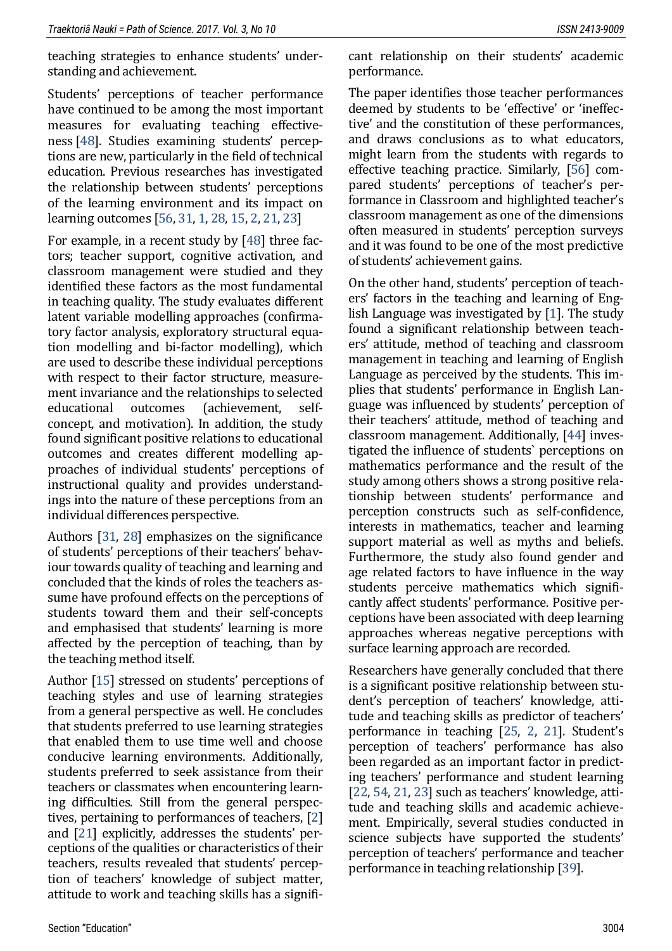teaching strategies to enhance students' understanding and achievement.

Students' perceptions of teacher performance have continued to be among the most important measures for evaluating teaching effectiveness [\[48\]](#page-11-4). Studies examining students' perceptions are new, particularly in the field of technical education. Previous researches has investigated the relationship between students' perceptions of the learning environment and its impact on learning outcomes [\[56,](#page-11-5) [31,](#page-10-11) [1,](#page-8-4) [28,](#page-10-12) [15,](#page-9-7) [2,](#page-8-5) [21,](#page-9-8) [23\]](#page-9-9)

For example, in a recent study by [\[48\]](#page-11-4) three factors; teacher support, cognitive activation, and classroom management were studied and they identified these factors as the most fundamental in teaching quality. The study evaluates different latent variable modelling approaches (confirmatory factor analysis, exploratory structural equation modelling and bi-factor modelling), which are used to describe these individual perceptions with respect to their factor structure, measurement invariance and the relationships to selected educational outcomes (achievement, selfconcept, and motivation). In addition, the study found significant positive relations to educational outcomes and creates different modelling approaches of individual students' perceptions of instructional quality and provides understandings into the nature of these perceptions from an individual differences perspective.

Authors [\[31,](#page-10-11) [28\]](#page-10-12) emphasizes on the significance of students' perceptions of their teachers' behaviour towards quality of teaching and learning and concluded that the kinds of roles the teachers assume have profound effects on the perceptions of students toward them and their self-concepts and emphasised that students' learning is more affected by the perception of teaching, than by the teaching method itself.

Author [\[15\]](#page-9-7) stressed on students' perceptions of teaching styles and use of learning strategies from a general perspective as well. He concludes that students preferred to use learning strategies that enabled them to use time well and choose conducive learning environments. Additionally, students preferred to seek assistance from their teachers or classmates when encountering learning difficulties. Still from the general perspectives, pertaining to performances of teachers, [\[2\]](#page-8-5) and [\[21\]](#page-9-8) explicitly, addresses the students' perceptions of the qualities or characteristics of their teachers, results revealed that students' perception of teachers' knowledge of subject matter, attitude to work and teaching skills has a significant relationship on their students' academic performance.

The paper identifies those teacher performances deemed by students to be 'effective' or 'ineffective' and the constitution of these performances, and draws conclusions as to what educators, might learn from the students with regards to effective teaching practice. Similarly, [\[56\]](#page-11-5) compared students' perceptions of teacher's performance in Classroom and highlighted teacher's classroom management as one of the dimensions often measured in students' perception surveys and it was found to be one of the most predictive of students' achievement gains.

On the other hand, students' perception of teachers' factors in the teaching and learning of English Language was investigated by [\[1\]](#page-8-4). The study found a significant relationship between teachers' attitude, method of teaching and classroom management in teaching and learning of English Language as perceived by the students. This implies that students' performance in English Language was influenced by students' perception of their teachers' attitude, method of teaching and classroom management. Additionally, [\[44\]](#page-11-6) investigated the influence of students` perceptions on mathematics performance and the result of the study among others shows a strong positive relationship between students' performance and perception constructs such as self-confidence, interests in mathematics, teacher and learning support material as well as myths and beliefs. Furthermore, the study also found gender and age related factors to have influence in the way students perceive mathematics which significantly affect students' performance. Positive perceptions have been associated with deep learning approaches whereas negative perceptions with surface learning approach are recorded.

Researchers have generally concluded that there is a significant positive relationship between student's perception of teachers' knowledge, attitude and teaching skills as predictor of teachers' performance in teaching [\[25,](#page-9-10) [2,](#page-8-5) [21\]](#page-9-8). Student's perception of teachers' performance has also been regarded as an important factor in predicting teachers' performance and student learning [\[22,](#page-9-11) [54,](#page-11-7) [21,](#page-9-8) [23\]](#page-9-9) such as teachers' knowledge, attitude and teaching skills and academic achievement. Empirically, several studies conducted in science subjects have supported the students' perception of teachers' performance and teacher performance in teaching relationship [\[39\]](#page-10-13).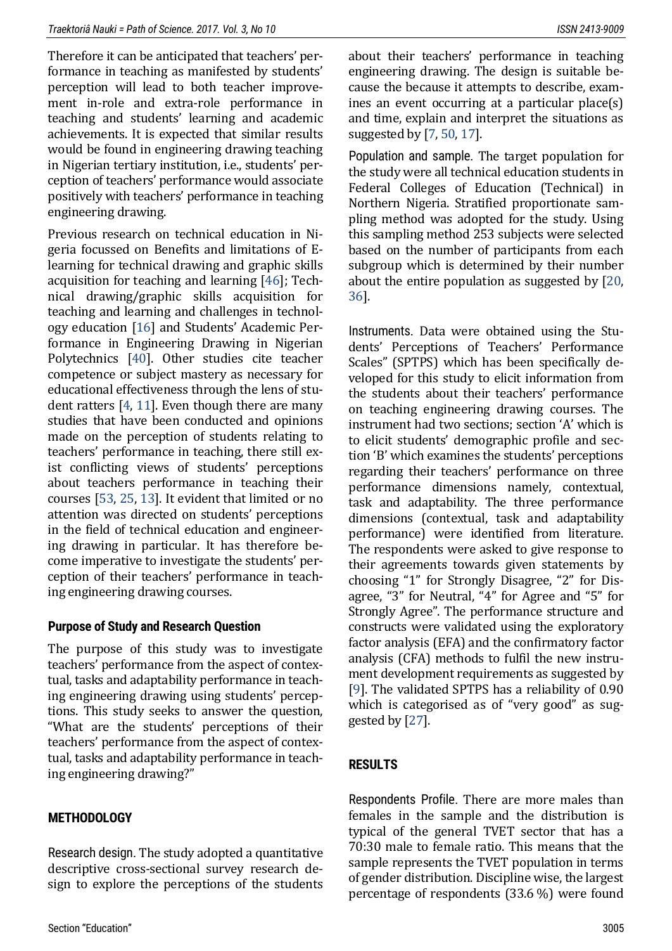Therefore it can be anticipated that teachers' performance in teaching as manifested by students' perception will lead to both teacher improvement in-role and extra-role performance in teaching and students' learning and academic achievements. It is expected that similar results would be found in engineering drawing teaching in Nigerian tertiary institution, i.e., students' perception of teachers' performance would associate positively with teachers' performance in teaching engineering drawing.

Previous research on technical education in Nigeria focussed on Benefits and limitations of Elearning for technical drawing and graphic skills acquisition for teaching and learning [\[46\]](#page-11-8); Technical drawing/graphic skills acquisition for teaching and learning and challenges in technology education [\[16\]](#page-9-12) and Students' Academic Performance in Engineering Drawing in Nigerian Polytechnics [\[40\]](#page-10-14). Other studies cite teacher competence or subject mastery as necessary for educational effectiveness through the lens of student ratters [\[4,](#page-8-6) [11\]](#page-9-13). Even though there are many studies that have been conducted and opinions made on the perception of students relating to teachers' performance in teaching, there still exist conflicting views of students' perceptions about teachers performance in teaching their courses [\[53,](#page-11-9) [25,](#page-9-10) [13\]](#page-9-4). It evident that limited or no attention was directed on students' perceptions in the field of technical education and engineering drawing in particular. It has therefore become imperative to investigate the students' perception of their teachers' performance in teaching engineering drawing courses.

## **Purpose of Study and Research Question**

The purpose of this study was to investigate teachers' performance from the aspect of contextual, tasks and adaptability performance in teaching engineering drawing using students' perceptions. This study seeks to answer the question, "What are the students' perceptions of their teachers' performance from the aspect of contextual, tasks and adaptability performance in teaching engineering drawing?"

## **METHODOLOGY**

Research design. The study adopted a quantitative descriptive cross-sectional survey research design to explore the perceptions of the students

about their teachers' performance in teaching engineering drawing. The design is suitable because the because it attempts to describe, examines an event occurring at a particular place(s) and time, explain and interpret the situations as suggested by [\[7,](#page-8-7) [50,](#page-11-10) [17\]](#page-9-14).

Population and sample. The target population for the study were all technical education students in Federal Colleges of Education (Technical) in Northern Nigeria. Stratified proportionate sampling method was adopted for the study. Using this sampling method 253 subjects were selected based on the number of participants from each subgroup which is determined by their number about the entire population as suggested by [\[20,](#page-9-15)  [36\]](#page-10-15).

Instruments. Data were obtained using the Students' Perceptions of Teachers' Performance Scales" (SPTPS) which has been specifically developed for this study to elicit information from the students about their teachers' performance on teaching engineering drawing courses. The instrument had two sections; section 'A' which is to elicit students' demographic profile and section 'B' which examines the students' perceptions regarding their teachers' performance on three performance dimensions namely, contextual, task and adaptability. The three performance dimensions (contextual, task and adaptability performance) were identified from literature. The respondents were asked to give response to their agreements towards given statements by choosing "1" for Strongly Disagree, "2" for Disagree, "3" for Neutral, "4" for Agree and "5" for Strongly Agree". The performance structure and constructs were validated using the exploratory factor analysis (EFA) and the confirmatory factor analysis (CFA) methods to fulfil the new instrument development requirements as suggested by [\[9\]](#page-9-16). The validated SPTPS has a reliability of 0.90 which is categorised as of "very good" as suggested by [\[27\]](#page-9-17).

# **RESULTS**

Respondents Profile. There are more males than females in the sample and the distribution is typical of the general TVET sector that has a 70:30 male to female ratio. This means that the sample represents the TVET population in terms of gender distribution. Discipline wise, the largest percentage of respondents (33.6 %) were found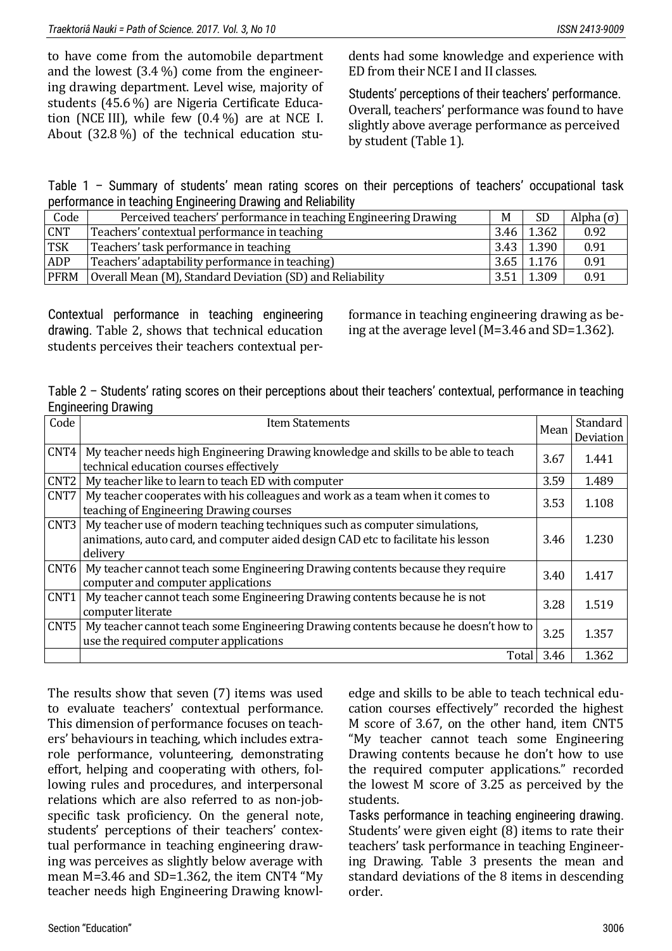to have come from the automobile department and the lowest (3.4 %) come from the engineering drawing department. Level wise, majority of students (45.6 %) are Nigeria Certificate Education (NCE III), while few (0.4 %) are at NCE I. About (32.8 %) of the technical education stu-

dents had some knowledge and experience with ED from their NCE I and II classes.

Students' perceptions of their teachers' performance. Overall, teachers' performance was found to have slightly above average performance as perceived by student (Table 1).

Table 1 – Summary of students' mean rating scores on their perceptions of teachers' occupational task performance in teaching Engineering Drawing and Reliability

| Code        | Perceived teachers' performance in teaching Engineering Drawing | M    | <b>SD</b>         | Alpha $(\sigma)$ |
|-------------|-----------------------------------------------------------------|------|-------------------|------------------|
| <b>CNT</b>  | Teachers' contextual performance in teaching                    | 3.46 | 1.362             | 0.92             |
| <b>TSK</b>  | Teachers' task performance in teaching                          |      | $3.43 \mid 1.390$ | 0.91             |
| ADP         | Teachers' adaptability performance in teaching)                 |      | $3.65$ 1.176      | 0.91             |
| <b>PFRM</b> | Overall Mean (M), Standard Deviation (SD) and Reliability       | 3.51 | 1.309             | 0.91             |

Contextual performance in teaching engineering drawing. Table 2, shows that technical education students perceives their teachers contextual per-

formance in teaching engineering drawing as being at the average level (M=3.46 and SD=1.362).

Table 2 – Students' rating scores on their perceptions about their teachers' contextual, performance in teaching Engineering Drawing

| Code             | <b>Item Statements</b>                                                                                                                                                      | Mean | Standard<br>Deviation |
|------------------|-----------------------------------------------------------------------------------------------------------------------------------------------------------------------------|------|-----------------------|
| CNT4             | My teacher needs high Engineering Drawing knowledge and skills to be able to teach<br>technical education courses effectively                                               | 3.67 | 1.441                 |
| CNT <sub>2</sub> | My teacher like to learn to teach ED with computer                                                                                                                          | 3.59 | 1.489                 |
| CNT7             | My teacher cooperates with his colleagues and work as a team when it comes to<br>teaching of Engineering Drawing courses                                                    | 3.53 | 1.108                 |
| CNT3             | My teacher use of modern teaching techniques such as computer simulations,<br>animations, auto card, and computer aided design CAD etc to facilitate his lesson<br>delivery | 3.46 | 1.230                 |
|                  | CNT6 My teacher cannot teach some Engineering Drawing contents because they require<br>computer and computer applications                                                   | 3.40 | 1.417                 |
| CNT1             | My teacher cannot teach some Engineering Drawing contents because he is not<br>computer literate                                                                            | 3.28 | 1.519                 |
| CNT <sub>5</sub> | My teacher cannot teach some Engineering Drawing contents because he doesn't how to<br>use the required computer applications                                               | 3.25 | 1.357                 |
|                  | Total                                                                                                                                                                       | 3.46 | 1.362                 |

The results show that seven (7) items was used to evaluate teachers' contextual performance. This dimension of performance focuses on teachers' behaviours in teaching, which includes extrarole performance, volunteering, demonstrating effort, helping and cooperating with others, following rules and procedures, and interpersonal relations which are also referred to as non-jobspecific task proficiency. On the general note, students' perceptions of their teachers' contextual performance in teaching engineering drawing was perceives as slightly below average with mean M=3.46 and SD=1.362, the item CNT4 "My teacher needs high Engineering Drawing knowl-

edge and skills to be able to teach technical education courses effectively" recorded the highest M score of 3.67, on the other hand, item CNT5 "My teacher cannot teach some Engineering Drawing contents because he don't how to use the required computer applications." recorded the lowest M score of 3.25 as perceived by the students.

Tasks performance in teaching engineering drawing. Students' were given eight (8) items to rate their teachers' task performance in teaching Engineering Drawing. Table 3 presents the mean and standard deviations of the 8 items in descending order.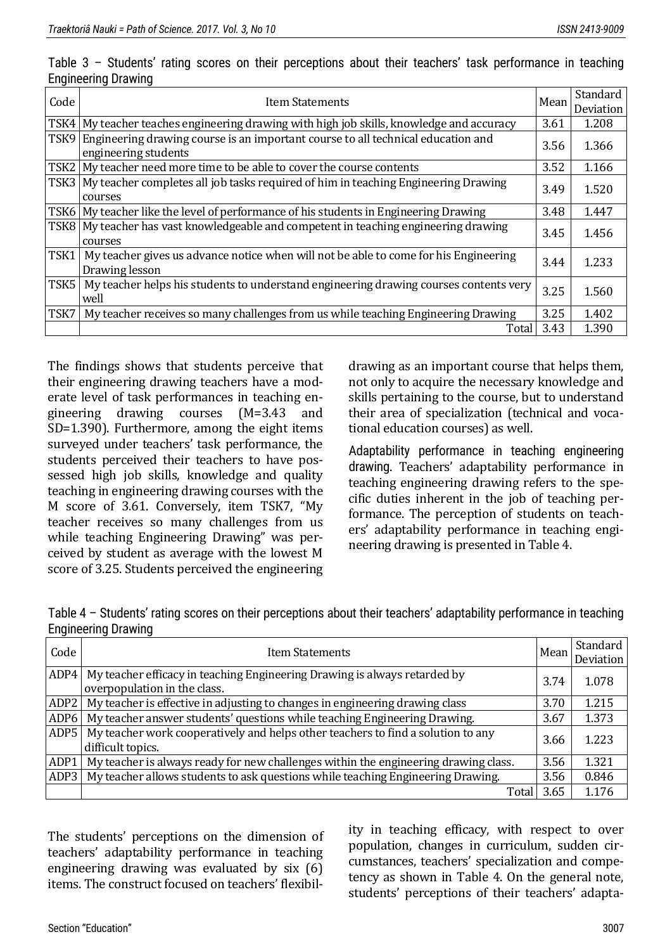| Code             | <b>Item Statements</b>                                                                                   |      | Standard  |
|------------------|----------------------------------------------------------------------------------------------------------|------|-----------|
|                  |                                                                                                          | Mean | Deviation |
| TSK4             | My teacher teaches engineering drawing with high job skills, knowledge and accuracy                      | 3.61 | 1.208     |
| TSK9             | Engineering drawing course is an important course to all technical education and<br>engineering students | 3.56 | 1.366     |
| TSK <sub>2</sub> | My teacher need more time to be able to cover the course contents                                        | 3.52 | 1.166     |
| TSK3             | My teacher completes all job tasks required of him in teaching Engineering Drawing<br>courses            | 3.49 | 1.520     |
|                  |                                                                                                          |      |           |
| TSK6             | My teacher like the level of performance of his students in Engineering Drawing                          | 3.48 | 1.447     |
| TSK8             | My teacher has vast knowledgeable and competent in teaching engineering drawing<br>courses               | 3.45 | 1.456     |
| TSK1             | My teacher gives us advance notice when will not be able to come for his Engineering<br>Drawing lesson   | 3.44 | 1.233     |
| TSK5             | My teacher helps his students to understand engineering drawing courses contents very<br>well            | 3.25 | 1.560     |
| TSK7             | My teacher receives so many challenges from us while teaching Engineering Drawing                        | 3.25 | 1.402     |
|                  | Total                                                                                                    | 3.43 | 1.390     |

Table 3 – Students' rating scores on their perceptions about their teachers' task performance in teaching Engineering Drawing

The findings shows that students perceive that their engineering drawing teachers have a moderate level of task performances in teaching engineering drawing courses (M=3.43 and SD=1.390). Furthermore, among the eight items surveyed under teachers' task performance, the students perceived their teachers to have possessed high job skills, knowledge and quality teaching in engineering drawing courses with the M score of 3.61. Conversely, item TSK7, "My teacher receives so many challenges from us while teaching Engineering Drawing" was perceived by student as average with the lowest M score of 3.25. Students perceived the engineering drawing as an important course that helps them, not only to acquire the necessary knowledge and skills pertaining to the course, but to understand their area of specialization (technical and vocational education courses) as well.

Adaptability performance in teaching engineering drawing. Teachers' adaptability performance in teaching engineering drawing refers to the specific duties inherent in the job of teaching performance. The perception of students on teachers' adaptability performance in teaching engineering drawing is presented in Table 4.

|                            | Table 4 - Students' rating scores on their perceptions about their teachers' adaptability performance in teaching |  |  |  |
|----------------------------|-------------------------------------------------------------------------------------------------------------------|--|--|--|
| <b>Engineering Drawing</b> |                                                                                                                   |  |  |  |

| Code             | <b>Item Statements</b>                                                                                    | Mean | Standard  <br>Deviation |
|------------------|-----------------------------------------------------------------------------------------------------------|------|-------------------------|
| ADP4             | My teacher efficacy in teaching Engineering Drawing is always retarded by<br>overpopulation in the class. | 3.74 | 1.078                   |
| ADP <sub>2</sub> | My teacher is effective in adjusting to changes in engineering drawing class                              | 3.70 | 1.215                   |
| ADP <sub>6</sub> | My teacher answer students' questions while teaching Engineering Drawing.                                 | 3.67 | 1.373                   |
| ADP5             | My teacher work cooperatively and helps other teachers to find a solution to any<br>difficult topics.     | 3.66 | 1.223                   |
| ADP1             | My teacher is always ready for new challenges within the engineering drawing class.                       | 3.56 | 1.321                   |
| ADP3             | My teacher allows students to ask questions while teaching Engineering Drawing.                           | 3.56 | 0.846                   |
|                  | Total                                                                                                     | 3.65 | 1.176                   |

The students' perceptions on the dimension of teachers' adaptability performance in teaching engineering drawing was evaluated by six (6) items. The construct focused on teachers' flexibility in teaching efficacy, with respect to over population, changes in curriculum, sudden circumstances, teachers' specialization and competency as shown in Table 4. On the general note, students' perceptions of their teachers' adapta-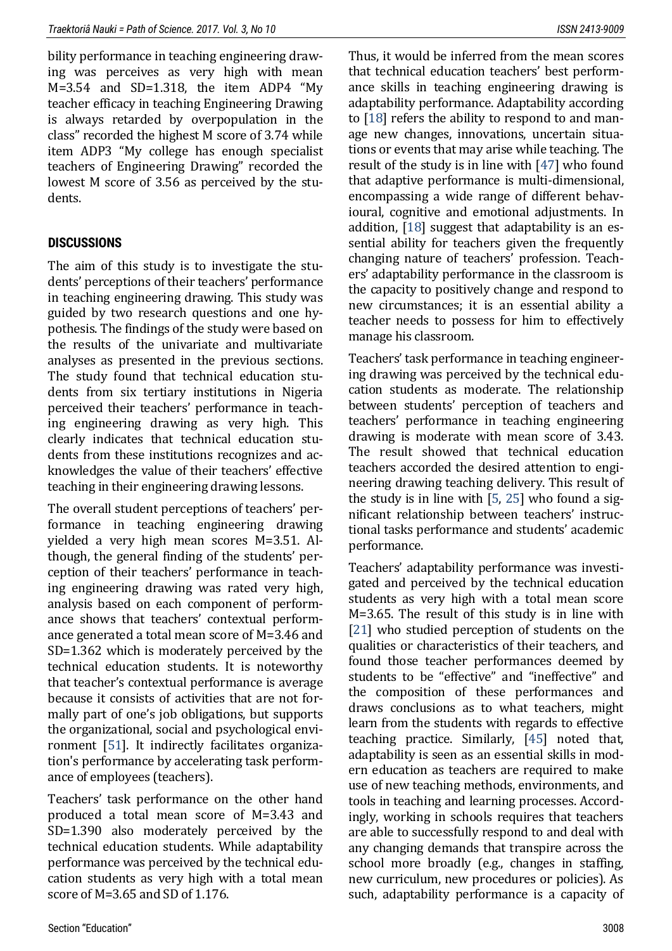bility performance in teaching engineering drawing was perceives as very high with mean M=3.54 and SD=1.318, the item ADP4 "My teacher efficacy in teaching Engineering Drawing is always retarded by overpopulation in the class" recorded the highest M score of 3.74 while item ADP3 "My college has enough specialist teachers of Engineering Drawing" recorded the lowest M score of 3.56 as perceived by the students.

## **DISCUSSIONS**

The aim of this study is to investigate the students' perceptions of their teachers' performance in teaching engineering drawing. This study was guided by two research questions and one hypothesis. The findings of the study were based on the results of the univariate and multivariate analyses as presented in the previous sections. The study found that technical education students from six tertiary institutions in Nigeria perceived their teachers' performance in teaching engineering drawing as very high. This clearly indicates that technical education students from these institutions recognizes and acknowledges the value of their teachers' effective teaching in their engineering drawing lessons.

The overall student perceptions of teachers' performance in teaching engineering drawing yielded a very high mean scores M=3.51. Although, the general finding of the students' perception of their teachers' performance in teaching engineering drawing was rated very high, analysis based on each component of performance shows that teachers' contextual performance generated a total mean score of M=3.46 and SD=1.362 which is moderately perceived by the technical education students. It is noteworthy that teacher's contextual performance is average because it consists of activities that are not formally part of one's job obligations, but supports the organizational, social and psychological environment [\[51\]](#page-11-11). It indirectly facilitates organization's performance by accelerating task performance of employees (teachers).

Teachers' task performance on the other hand produced a total mean score of M=3.43 and SD=1.390 also moderately perceived by the technical education students. While adaptability performance was perceived by the technical education students as very high with a total mean score of M=3.65 and SD of 1.176.

Thus, it would be inferred from the mean scores that technical education teachers' best performance skills in teaching engineering drawing is adaptability performance. Adaptability according to [\[18\]](#page-9-18) refers the ability to respond to and manage new changes, innovations, uncertain situations or events that may arise while teaching. The result of the study is in line with [\[47\]](#page-11-12) who found that adaptive performance is multi-dimensional, encompassing a wide range of different behavioural, cognitive and emotional adjustments. In addition, [\[18\]](#page-9-18) suggest that adaptability is an essential ability for teachers given the frequently changing nature of teachers' profession. Teachers' adaptability performance in the classroom is the capacity to positively change and respond to new circumstances; it is an essential ability a teacher needs to possess for him to effectively manage his classroom.

Teachers' task performance in teaching engineering drawing was perceived by the technical education students as moderate. The relationship between students' perception of teachers and teachers' performance in teaching engineering drawing is moderate with mean score of 3.43. The result showed that technical education teachers accorded the desired attention to engineering drawing teaching delivery. This result of the study is in line with [\[5,](#page-8-2) [25\]](#page-9-10) who found a significant relationship between teachers' instructional tasks performance and students' academic performance.

Teachers' adaptability performance was investigated and perceived by the technical education students as very high with a total mean score M=3.65. The result of this study is in line with [\[21\]](#page-9-8) who studied perception of students on the qualities or characteristics of their teachers, and found those teacher performances deemed by students to be "effective" and "ineffective" and the composition of these performances and draws conclusions as to what teachers, might learn from the students with regards to effective teaching practice. Similarly, [\[45\]](#page-11-13) noted that, adaptability is seen as an essential skills in modern education as teachers are required to make use of new teaching methods, environments, and tools in teaching and learning processes. Accordingly, working in schools requires that teachers are able to successfully respond to and deal with any changing demands that transpire across the school more broadly (e.g., changes in staffing, new curriculum, new procedures or policies). As such, adaptability performance is a capacity of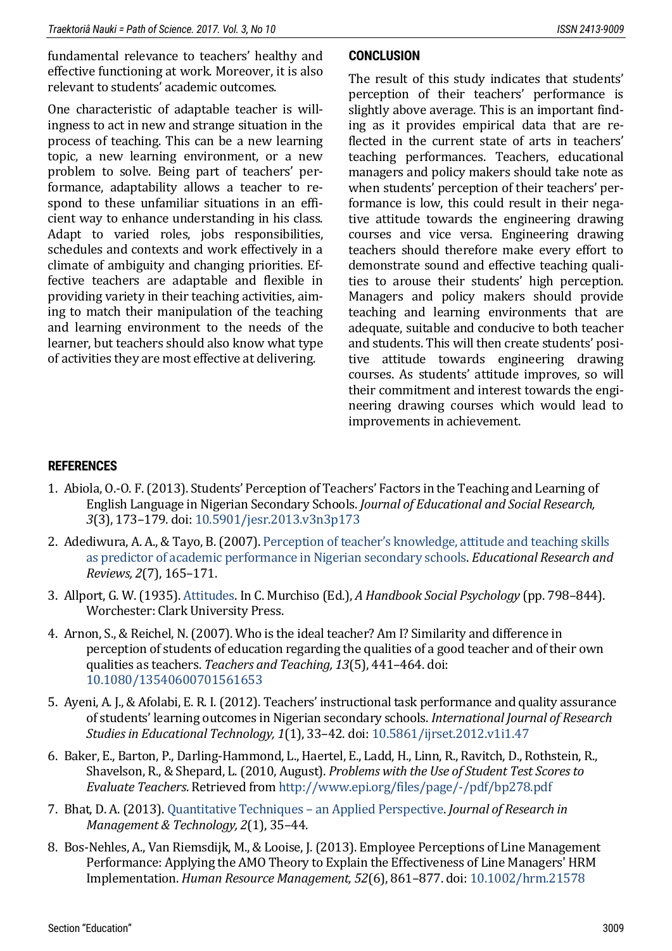fundamental relevance to teachers' healthy and effective functioning at work. Moreover, it is also relevant to students' academic outcomes.

One characteristic of adaptable teacher is willingness to act in new and strange situation in the process of teaching. This can be a new learning topic, a new learning environment, or a new problem to solve. Being part of teachers' performance, adaptability allows a teacher to respond to these unfamiliar situations in an efficient way to enhance understanding in his class. Adapt to varied roles, jobs responsibilities, schedules and contexts and work effectively in a climate of ambiguity and changing priorities. Effective teachers are adaptable and flexible in providing variety in their teaching activities, aiming to match their manipulation of the teaching and learning environment to the needs of the learner, but teachers should also know what type of activities they are most effective at delivering.

#### **CONCLUSION**

The result of this study indicates that students' perception of their teachers' performance is slightly above average. This is an important finding as it provides empirical data that are reflected in the current state of arts in teachers' teaching performances. Teachers, educational managers and policy makers should take note as when students' perception of their teachers' performance is low, this could result in their negative attitude towards the engineering drawing courses and vice versa. Engineering drawing teachers should therefore make every effort to demonstrate sound and effective teaching qualities to arouse their students' high perception. Managers and policy makers should provide teaching and learning environments that are adequate, suitable and conducive to both teacher and students. This will then create students' positive attitude towards engineering drawing courses. As students' attitude improves, so will their commitment and interest towards the engineering drawing courses which would lead to improvements in achievement.

#### **REFERENCES**

- <span id="page-8-4"></span>1. Abiola, O.-O. F. (2013). Students' Perception of Teachers' Factors in the Teaching and Learning of English Language in Nigerian Secondary Schools. *Journal of Educational and Social Research, 3*(3), 173–179. doi: [10.5901/jesr.2013.v3n3p173](https://doi.org/10.5901/jesr.2013.v3n3p173)
- <span id="page-8-5"></span>2. Adediwura, A. A., & Tayo, B. (2007). [Perception of teacher's knowledge, attitude and teaching skills](https://www.academia.edu/3415443/Perception_of_teachers_knowledge_attitude_and_teaching_skills_as_predictor_of_academic_performance_in_Nigerian_secondary_schools)  [as predictor of academic performance in Nigerian secondary schools.](https://www.academia.edu/3415443/Perception_of_teachers_knowledge_attitude_and_teaching_skills_as_predictor_of_academic_performance_in_Nigerian_secondary_schools) *Educational Research and Reviews, 2*(7), 165–171.
- <span id="page-8-3"></span>3. Allport, G. W. (1935)[. Attitudes.](http://web.comhem.se/u52239948/08/allport35.pdf) In C. Murchiso (Ed.), *A Handbook Social Psychology* (pp. 798–844). Worchester: Clark University Press.
- <span id="page-8-6"></span>4. Arnon, S., & Reichel, N. (2007). Who is the ideal teacher? Am I? Similarity and difference in perception of students of education regarding the qualities of a good teacher and of their own qualities as teachers. *Teachers and Teaching, 13*(5), 441–464. doi: [10.1080/13540600701561653](https://doi.org/10.1080/13540600701561653)
- <span id="page-8-2"></span>5. Ayeni, A. J., & Afolabi, E. R. I. (2012). Teachers' instructional task performance and quality assurance of students' learning outcomes in Nigerian secondary schools. *International Journal of Research Studies in Educational Technology, 1*(1), 33–42. doi[: 10.5861/ijrset.2012.v1i1.47](https://doi.org/10.5861/ijrset.2012.v1i1.47)
- <span id="page-8-0"></span>6. Baker, E., Barton, P., Darling-Hammond, L., Haertel, E., Ladd, H., Linn, R., Ravitch, D., Rothstein, R., Shavelson, R., & Shepard, L. (2010, August). *Problems with the Use of Student Test Scores to Evaluate Teachers*. Retrieved from<http://www.epi.org/files/page/-/pdf/bp278.pdf>
- <span id="page-8-7"></span>7. Bhat, D. A. (2013). [Quantitative Techniques](https://www.abhinavjournal.com/images/Management_&_Technology/Oct13/5.pdf) – an Applied Perspective. *Journal of Research in Management & Technology, 2*(1), 35–44.
- <span id="page-8-1"></span>8. Bos-Nehles, A., Van Riemsdijk, M., & Looise, J. (2013). Employee Perceptions of Line Management Performance: Applying the AMO Theory to Explain the Effectiveness of Line Managers' HRM Implementation. *Human Resource Management, 52*(6), 861–877. doi[: 10.1002/hrm.21578](https://doi.org/10.1002/hrm.21578)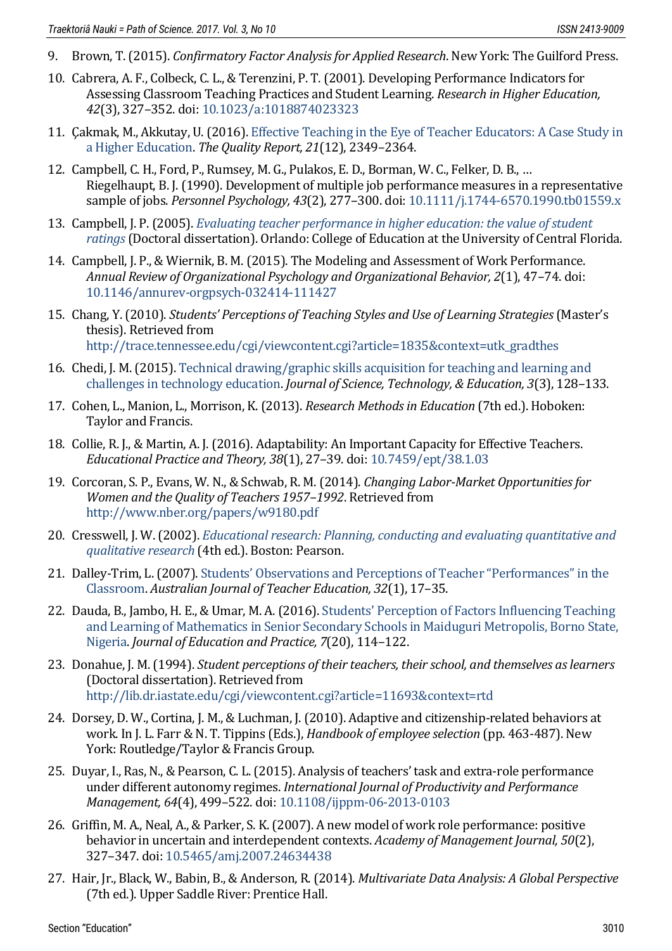- <span id="page-9-16"></span>9. Brown, T. (2015). *Confirmatory Factor Analysis for Applied Research*. New York: The Guilford Press.
- <span id="page-9-0"></span>10. Cabrera, A. F., Colbeck, C. L., & Terenzini, P. T. (2001). Developing Performance Indicators for Assessing Classroom Teaching Practices and Student Learning. *Research in Higher Education, 42*(3), 327–352. doi: [10.1023/a:1018874023323](https://doi.org/10.1023/a:1018874023323)
- <span id="page-9-13"></span>11. Çakmak, M., Akkutay, U. (2016)[. Effective Teaching in the Eye of Teacher Educators: A Case Study in](http://nsuworks.nova.edu/cgi/viewcontent.cgi?article=2591&context=tqr)  [a Higher Education.](http://nsuworks.nova.edu/cgi/viewcontent.cgi?article=2591&context=tqr) *The Quality Report, 21*(12), 2349–2364.
- <span id="page-9-3"></span>12. Campbell, C. H., Ford, P., Rumsey, M. G., Pulakos, E. D., Borman, W. C., Felker, D. B., … Riegelhaupt, B. J. (1990). Development of multiple job performance measures in a representative sample of jobs. *Personnel Psychology, 43*(2), 277–300. doi: [10.1111/j.1744-6570.1990.tb01559.x](https://doi.org/10.1111/j.1744-6570.1990.tb01559.x)
- <span id="page-9-4"></span>13. Campbell, J. P. (2005). *[Evaluating teacher performance in higher education: the value of student](http://etd.fcla.edu/CF/CFE0000593/Campbell_Judith_P_200508_EdD.pdf)  [ratings](http://etd.fcla.edu/CF/CFE0000593/Campbell_Judith_P_200508_EdD.pdf)*(Doctoral dissertation). Orlando: College of Education at the University of Central Florida.
- <span id="page-9-1"></span>14. Campbell, J. P., & Wiernik, B. M. (2015). The Modeling and Assessment of Work Performance. *Annual Review of Organizational Psychology and Organizational Behavior, 2*(1), 47–74. doi: [10.1146/annurev-orgpsych-032414-111427](https://doi.org/10.1146/annurev-orgpsych-032414-111427)
- <span id="page-9-7"></span>15. Chang, Y. (2010). *Students' Perceptions of Teaching Styles and Use of Learning Strategies*(Master's thesis). Retrieved from [http://trace.tennessee.edu/cgi/viewcontent.cgi?article=1835&context=utk\\_gradthes](http://trace.tennessee.edu/cgi/viewcontent.cgi?article=1835&context=utk_gradthes)
- <span id="page-9-12"></span>16. Chedi, J. M. (2015)[. Technical drawing/graphic skills acquisition for teaching and learning and](https://www.researchgate.net/publication/307971425_TECHNICAL_DRAWING_GRAPHIC_SKILLS_ACQUISITION_FOR_TEACHING_AND_LEARNING_AND_CHALLENGES_IN_TECHNOLOGY_EDUCATION)  [challenges in technology education.](https://www.researchgate.net/publication/307971425_TECHNICAL_DRAWING_GRAPHIC_SKILLS_ACQUISITION_FOR_TEACHING_AND_LEARNING_AND_CHALLENGES_IN_TECHNOLOGY_EDUCATION) *Journal of Science, Technology, & Education, 3*(3), 128–133.
- <span id="page-9-14"></span>17. Cohen, L., Manion, L., Morrison, K. (2013). *Research Methods in Education* (7th ed.). Hoboken: Taylor and Francis.
- <span id="page-9-18"></span>18. Collie, R. J., & Martin, A. J. (2016). Adaptability: An Important Capacity for Effective Teachers. *Educational Practice and Theory, 38*(1), 27–39. doi[: 10.7459/ept/38.1.03](https://doi.org/10.7459/ept/38.1.03)
- <span id="page-9-6"></span>19. Corcoran, S. P., Evans, W. N., & Schwab, R. M. (2014). *Changing Labor-Market Opportunities for Women and the Quality of Teachers 1957–1992*. Retrieved from <http://www.nber.org/papers/w9180.pdf>
- <span id="page-9-15"></span>20. Cresswell, J. W. (2002). *[Educational research: Planning, conducting and evaluating quantitative and](http://basu.nahad.ir/uploads/creswell.pdf)  [qualitative research](http://basu.nahad.ir/uploads/creswell.pdf)* (4th ed.). Boston: Pearson.
- <span id="page-9-8"></span>21. Dalley-Trim, L. (2007). [Students' Observations and Perceptions of Teacher "Performances" in the](http://ro.ecu.edu.au/cgi/viewcontent.cgi?article=1373&context=ajte)  [Classroom.](http://ro.ecu.edu.au/cgi/viewcontent.cgi?article=1373&context=ajte) *Australian Journal of Teacher Education, 32*(1), 17–35.
- <span id="page-9-11"></span>22. Dauda, B., Jambo, H. E., & Umar, M. A. (2016)[. Students' Perception of Factors Influencing Teaching](http://files.eric.ed.gov/fulltext/EJ1109160.pdf)  [and Learning of Mathematics in Senior Secondary Schools in Maiduguri Metropolis, Borno State,](http://files.eric.ed.gov/fulltext/EJ1109160.pdf)  [Nigeria.](http://files.eric.ed.gov/fulltext/EJ1109160.pdf) *Journal of Education and Practice, 7*(20), 114–122.
- <span id="page-9-9"></span>23. Donahue, J. M. (1994). *Student perceptions of their teachers, their school, and themselves as learners* (Doctoral dissertation). Retrieved from <http://lib.dr.iastate.edu/cgi/viewcontent.cgi?article=11693&context=rtd>
- <span id="page-9-5"></span>24. Dorsey, D. W., Cortina, J. M., & Luchman, J. (2010). Adaptive and citizenship-related behaviors at work. In J. L. Farr & N. T. Tippins (Eds.), *Handbook of employee selection* (pp. 463-487). New York: Routledge/Taylor & Francis Group.
- <span id="page-9-10"></span>25. Duyar, I., Ras, N., & Pearson, C. L. (2015). Analysis of teachers' task and extra-role performance under different autonomy regimes. *International Journal of Productivity and Performance Management, 64*(4), 499–522. doi[: 10.1108/ijppm-06-2013-0103](https://doi.org/10.1108/ijppm-06-2013-0103)
- <span id="page-9-2"></span>26. Griffin, M. A., Neal, A., & Parker, S. K. (2007). A new model of work role performance: positive behavior in uncertain and interdependent contexts. *Academy of Management Journal, 50*(2), 327–347. doi: [10.5465/amj.2007.24634438](https://doi.org/10.5465/amj.2007.24634438)
- <span id="page-9-17"></span>27. Hair, Jr., Black, W., Babin, B., & Anderson, R. (2014). *Multivariate Data Analysis: A Global Perspective* (7th ed.). Upper Saddle River: Prentice Hall.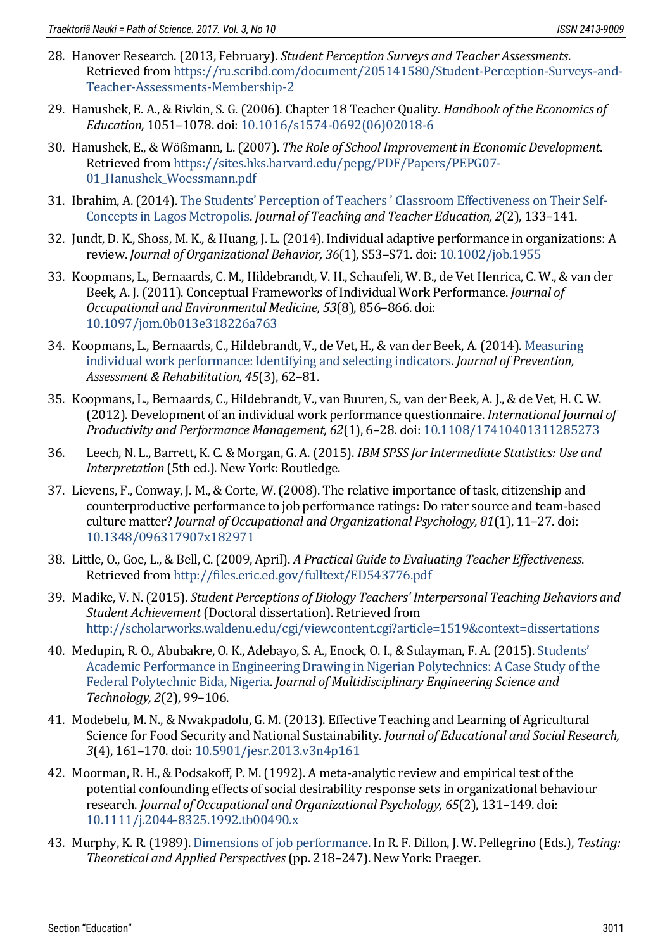- <span id="page-10-12"></span>28. Hanover Research. (2013, February). *Student Perception Surveys and Teacher Assessments*. Retrieved from [https://ru.scribd.com/document/205141580/Student-Perception-Surveys-and-](https://ru.scribd.com/document/205141580/Student-Perception-Surveys-and-Teacher-Assessments-Membership-2)[Teacher-Assessments-Membership-2](https://ru.scribd.com/document/205141580/Student-Perception-Surveys-and-Teacher-Assessments-Membership-2)
- <span id="page-10-1"></span>29. Hanushek, E. A., & Rivkin, S. G. (2006). Chapter 18 Teacher Quality. *Handbook of the Economics of Education,* 1051–1078. doi[: 10.1016/s1574-0692\(06\)02018-6](https://doi.org/10.1016/s1574-0692(06)02018-6)
- <span id="page-10-2"></span>30. Hanushek, E., & Wößmann, L. (2007). *The Role of School Improvement in Economic Development*. Retrieved from [https://sites.hks.harvard.edu/pepg/PDF/Papers/PEPG07-](https://sites.hks.harvard.edu/pepg/PDF/Papers/PEPG07-01_Hanushek_Woessmann.pdf) [01\\_Hanushek\\_Woessmann.pdf](https://sites.hks.harvard.edu/pepg/PDF/Papers/PEPG07-01_Hanushek_Woessmann.pdf)
- <span id="page-10-11"></span>31. Ibrahim, A. (2014). [The Students' Perception of Teachers ' Classroom Effectiveness on Their Self](https://www.researchgate.net/publication/308143916_The_Students)-[Concepts in Lagos Metropolis.](https://www.researchgate.net/publication/308143916_The_Students) *Journal of Teaching and Teacher Education, 2*(2), 133–141.
- <span id="page-10-10"></span>32. Jundt, D. K., Shoss, M. K., & Huang, J. L. (2014). Individual adaptive performance in organizations: A review. *Journal of Organizational Behavior, 36*(1), S53–S71. doi[: 10.1002/job.1955](https://doi.org/10.1002/job.1955)
- <span id="page-10-7"></span>33. Koopmans, L., Bernaards, C. M., Hildebrandt, V. H., Schaufeli, W. B., de Vet Henrica, C. W., & van der Beek, A. J. (2011). Conceptual Frameworks of Individual Work Performance. *Journal of Occupational and Environmental Medicine, 53*(8), 856–866. doi: [10.1097/jom.0b013e318226a763](https://doi.org/10.1097/jom.0b013e318226a763)
- <span id="page-10-5"></span>34. Koopmans, L., Bernaards, C., Hildebrandt, V., de Vet, H., & van der Beek, A. (2014). [Measuring](https://www.researchgate.net/publication/242332755_Measuring_individual_work_performance_Identifying_and_selecting_indicators)  [individual work performance: Identifying and selecting indicators.](https://www.researchgate.net/publication/242332755_Measuring_individual_work_performance_Identifying_and_selecting_indicators) *Journal of Prevention, Assessment & Rehabilitation, 45*(3), 62–81.
- <span id="page-10-6"></span>35. Koopmans, L., Bernaards, C., Hildebrandt, V., van Buuren, S., van der Beek, A. J., & de Vet, H. C. W. (2012). Development of an individual work performance questionnaire. *International Journal of Productivity and Performance Management, 62*(1), 6–28. doi[: 10.1108/17410401311285273](https://doi.org/10.1108/17410401311285273)
- <span id="page-10-15"></span>36. Leech, N. L., Barrett, K. C. & Morgan, G. A. (2015). *IBM SPSS for Intermediate Statistics: Use and Interpretation* (5th ed.). New York: Routledge.
- <span id="page-10-8"></span>37. Lievens, F., Conway, J. M., & Corte, W. (2008). The relative importance of task, citizenship and counterproductive performance to job performance ratings: Do rater source and team-based culture matter? *Journal of Occupational and Organizational Psychology, 81*(1), 11–27. doi: [10.1348/096317907x182971](https://doi.org/10.1348/096317907x182971)
- <span id="page-10-3"></span>38. Little, O., Goe, L., & Bell, C. (2009, April). *A Practical Guide to Evaluating Teacher Effectiveness*. Retrieved from<http://files.eric.ed.gov/fulltext/ED543776.pdf>
- <span id="page-10-13"></span>39. Madike, V. N. (2015). *Student Perceptions of Biology Teachers' Interpersonal Teaching Behaviors and Student Achievement* (Doctoral dissertation). Retrieved from <http://scholarworks.waldenu.edu/cgi/viewcontent.cgi?article=1519&context=dissertations>
- <span id="page-10-14"></span>40. Medupin, R. O., Abubakre, O. K., Adebayo, S. A., Enock, O. I., & Sulayman, F. A. (2015). [Students'](http://www.jmest.org/wp-content/uploads/JMESTN42350458.pdf)  [Academic Performance in Engineering Drawing in Nigerian Polytechnics: A Case Study of the](http://www.jmest.org/wp-content/uploads/JMESTN42350458.pdf)  [Federal Polytechnic Bida, Nigeria.](http://www.jmest.org/wp-content/uploads/JMESTN42350458.pdf) *Journal of Multidisciplinary Engineering Science and Technology, 2*(2), 99–106.
- <span id="page-10-0"></span>41. Modebelu, M. N., & Nwakpadolu, G. M. (2013). Effective Teaching and Learning of Agricultural Science for Food Security and National Sustainability. *Journal of Educational and Social Research, 3*(4), 161–170. doi: [10.5901/jesr.2013.v3n4p161](https://doi.org/10.5901/jesr.2013.v3n4p161)
- <span id="page-10-4"></span>42. Moorman, R. H., & Podsakoff, P. M. (1992). A meta-analytic review and empirical test of the potential confounding effects of social desirability response sets in organizational behaviour research. *Journal of Occupational and Organizational Psychology, 65*(2), 131–149. doi: [10.1111/j.2044-8325.1992.tb00490.x](https://doi.org/10.1111/j.2044-8325.1992.tb00490.x)
- <span id="page-10-9"></span>43. Murphy, K. R. (1989)[. Dimensions of job performance.](http://psycnet.apa.org/record/1989-97674-010) In R. F. Dillon, J. W. Pellegrino (Eds.), *Testing: Theoretical and Applied Perspectives*(pp. 218–247). New York: Praeger.